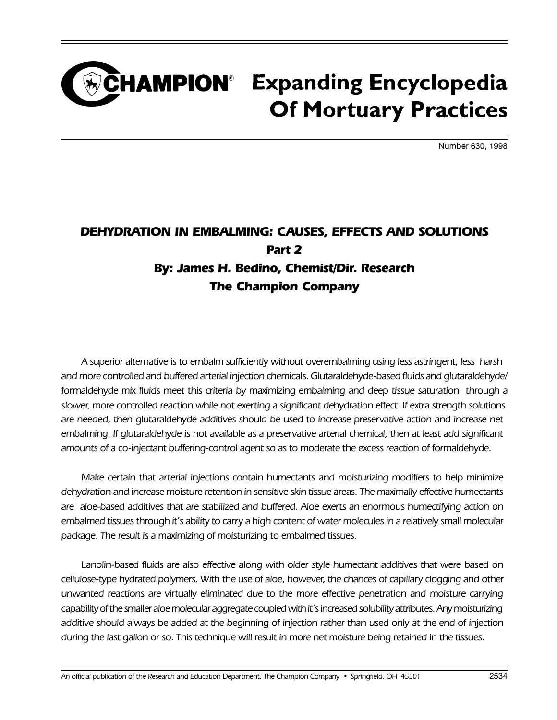### CHAMPION<sup>®</sup> Expanding Encyclopedia **Of Mortuary Practices**

Number 630, 1998

#### DEHYDRATION IN EMBALMING: CAUSES, EFFECTS AND SOLUTIONS Part 2 By: James H. Bedino, Chemist/Dir. Research The Champion Company

A superior alternative is to embalm sufficiently without overembalming using less astringent, less harsh and more controlled and buffered arterial injection chemicals. Glutaraldehyde-based fluids and glutaraldehyde/ formaldehyde mix fluids meet this criteria by maximizing embalming and deep tissue saturation through a slower, more controlled reaction while not exerting a significant dehydration effect. If extra strength solutions are needed, then glutaraldehyde additives should be used to increase preservative action and increase net embalming. If glutaraldehyde is not available as a preservative arterial chemical, then at least add significant amounts of a co-injectant buffering-control agent so as to moderate the excess reaction of formaldehyde.

Make certain that arterial injections contain humectants and moisturizing modifiers to help minimize dehydration and increase moisture retention in sensitive skin tissue areas. The maximally effective humectants are aloe-based additives that are stabilized and buffered. Aloe exerts an enormous humectifying action on embalmed tissues through it's ability to carry a high content of water molecules in a relatively small molecular package. The result is a maximizing of moisturizing to embalmed tissues.

Lanolin-based fluids are also effective along with older style humectant additives that were based on cellulose-type hydrated polymers. With the use of aloe, however, the chances of capillary clogging and other unwanted reactions are virtually eliminated due to the more effective penetration and moisture carrying capability of the smaller aloe molecular aggregate coupled with it's increased solubility attributes. Any moisturizing additive should always be added at the beginning of injection rather than used only at the end of injection during the last gallon or so. This technique will result in more net moisture being retained in the tissues.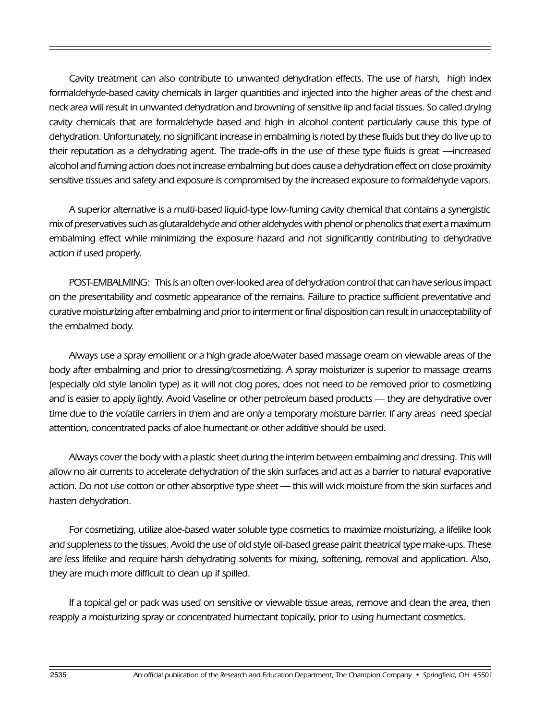Cavity treatment can also contribute to unwanted dehydration effects. The use of harsh, high index formaldehyde-based cavity chemicals in larger quantities and injected into the higher areas of the chest and neck area will result in unwanted dehydration and browning of sensitive lip and facial tissues. So called drying cavity chemicals that are formaldehyde based and high in alcohol content particularly cause this type of dehydration. Unfortunately, no significant increase in embalming is noted by these fluids but they do live up to their reputation as a dehydrating agent. The trade-offs in the use of these type fluids is great —increased alcohol and fuming action does not increase embalming but does cause a dehydration effect on close proximity sensitive tissues and safety and exposure is compromised by the increased exposure to formaldehyde vapors.

A superior alternative is a multi-based liquid-type low-fuming cavity chemical that contains a synergistic mix of preservatives such as glutaraldehyde and other aldehydes with phenol or phenolics that exert a maximum embalming effect while minimizing the exposure hazard and not significantly contributing to dehydrative action if used properly.

POST-EMBALMING: This is an often over-looked area of dehydration control that can have serious impact on the presentability and cosmetic appearance of the remains. Failure to practice sufficient preventative and curative moisturizing after embalming and prior to interment or final disposition can result in unacceptability of the embalmed body.

Always use a spray emollient or a high grade aloe/water based massage cream on viewable areas of the body after embalming and prior to dressing/cosmetizing. A spray moisturizer is superior to massage creams (especially old style lanolin type) as it will not clog pores, does not need to be removed prior to cosmetizing and is easier to apply lightly. Avoid Vaseline or other petroleum based products — they are dehydrative over time due to the volatile carriers in them and are only a temporary moisture barrier. If any areas need special attention, concentrated packs of aloe humectant or other additive should be used.

Always cover the body with a plastic sheet during the interim between embalming and dressing. This will allow no air currents to accelerate dehydration of the skin surfaces and act as a barrier to natural evaporative action. Do not use cotton or other absorptive type sheet — this will wick moisture from the skin surfaces and hasten dehydration.

For cosmetizing, utilize aloe-based water soluble type cosmetics to maximize moisturizing, a lifelike look and suppleness to the tissues. Avoid the use of old style oil-based grease paint theatrical type make-ups. These are less lifelike and require harsh dehydrating solvents for mixing, softening, removal and application. Also, they are much more difficult to clean up if spilled.

If a topical gel or pack was used on sensitive or viewable tissue areas, remove and clean the area, then reapply a moisturizing spray or concentrated humectant topically, prior to using humectant cosmetics.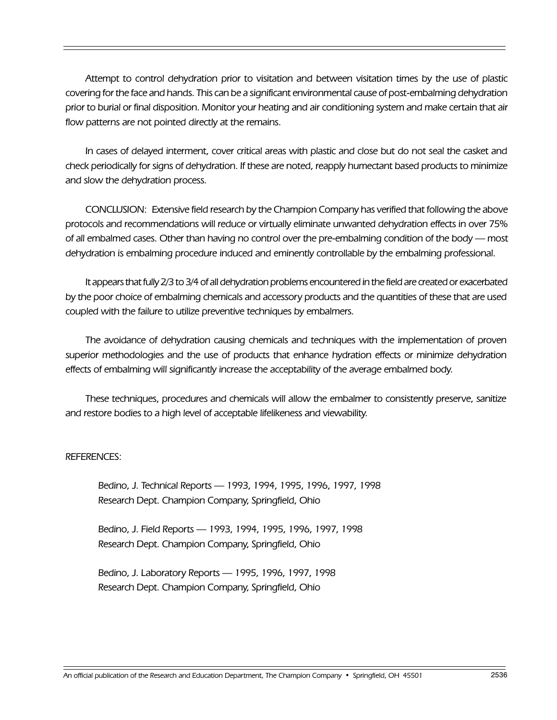Attempt to control dehydration prior to visitation and between visitation times by the use of plastic covering for the face and hands. This can be a significant environmental cause of post-embalming dehydration prior to burial or final disposition. Monitor your heating and air conditioning system and make certain that air flow patterns are not pointed directly at the remains.

In cases of delayed interment, cover critical areas with plastic and close but do not seal the casket and check periodically for signs of dehydration. If these are noted, reapply humectant based products to minimize and slow the dehydration process.

CONCLUSION: Extensive field research by the Champion Company has verified that following the above protocols and recommendations will reduce or virtually eliminate unwanted dehydration effects in over 75% of all embalmed cases. Other than having no control over the pre-embalming condition of the body — most dehydration is embalming procedure induced and eminently controllable by the embalming professional.

It appears that fully 2/3 to 3/4 of all dehydration problems encountered in the field are created or exacerbated by the poor choice of embalming chemicals and accessory products and the quantities of these that are used coupled with the failure to utilize preventive techniques by embalmers.

The avoidance of dehydration causing chemicals and techniques with the implementation of proven superior methodologies and the use of products that enhance hydration effects or minimize dehydration effects of embalming will significantly increase the acceptability of the average embalmed body.

These techniques, procedures and chemicals will allow the embalmer to consistently preserve, sanitize and restore bodies to a high level of acceptable lifelikeness and viewability.

#### REFERENCES:

Bedino, J. Technical Reports - 1993, 1994, 1995, 1996, 1997, 1998 Research Dept. Champion Company, Springfield, Ohio

Bedino, J. Field Reports - 1993, 1994, 1995, 1996, 1997, 1998 Research Dept. Champion Company, Springfield, Ohio

Bedino, J. Laboratory Reports — 1995, 1996, 1997, 1998 Research Dept. Champion Company, Springfield, Ohio